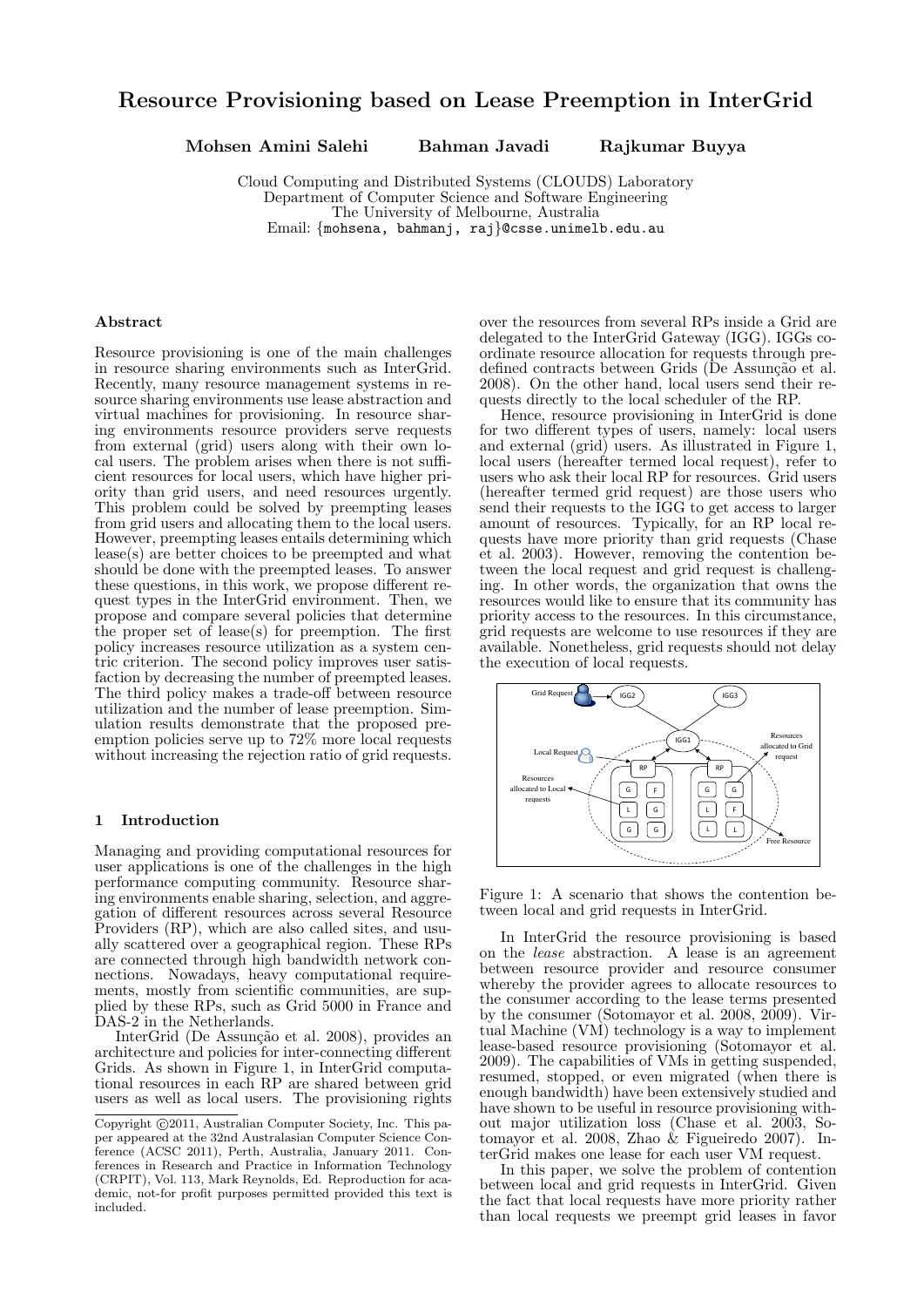# Resource Provisioning based on Lease Preemption in InterGrid

Mohsen Amini Salehi Bahman Javadi Rajkumar Buyya

Cloud Computing and Distributed Systems (CLOUDS) Laboratory Department of Computer Science and Software Engineering The University of Melbourne, Australia Email: {mohsena, bahmanj, raj}@csse.unimelb.edu.au

### Abstract

Resource provisioning is one of the main challenges in resource sharing environments such as InterGrid. Recently, many resource management systems in resource sharing environments use lease abstraction and virtual machines for provisioning. In resource sharing environments resource providers serve requests from external (grid) users along with their own local users. The problem arises when there is not sufficient resources for local users, which have higher priority than grid users, and need resources urgently. This problem could be solved by preempting leases from grid users and allocating them to the local users. However, preempting leases entails determining which lease(s) are better choices to be preempted and what should be done with the preempted leases. To answer these questions, in this work, we propose different request types in the InterGrid environment. Then, we propose and compare several policies that determine the proper set of lease(s) for preemption. The first policy increases resource utilization as a system centric criterion. The second policy improves user satisfaction by decreasing the number of preempted leases. The third policy makes a trade-off between resource utilization and the number of lease preemption. Simulation results demonstrate that the proposed preemption policies serve up to 72% more local requests without increasing the rejection ratio of grid requests.

### 1 Introduction

Managing and providing computational resources for user applications is one of the challenges in the high performance computing community. Resource sharing environments enable sharing, selection, and aggregation of different resources across several Resource Providers (RP), which are also called sites, and usually scattered over a geographical region. These RPs are connected through high bandwidth network connections. Nowadays, heavy computational requirements, mostly from scientific communities, are supplied by these RPs, such as Grid 5000 in France and DAS-2 in the Netherlands.

InterGrid (De Assunção et al. 2008), provides an architecture and policies for inter-connecting different Grids. As shown in Figure 1, in InterGrid computational resources in each RP are shared between grid users as well as local users. The provisioning rights

over the resources from several RPs inside a Grid are delegated to the InterGrid Gateway (IGG). IGGs coordinate resource allocation for requests through predefined contracts between Grids (De Assunção et al. 2008). On the other hand, local users send their requests directly to the local scheduler of the RP.

Hence, resource provisioning in InterGrid is done for two different types of users, namely: local users and external (grid) users. As illustrated in Figure 1, local users (hereafter termed local request), refer to users who ask their local RP for resources. Grid users (hereafter termed grid request) are those users who send their requests to the IGG to get access to larger amount of resources. Typically, for an RP local requests have more priority than grid requests (Chase et al. 2003). However, removing the contention between the local request and grid request is challenging. In other words, the organization that owns the resources would like to ensure that its community has priority access to the resources. In this circumstance, grid requests are welcome to use resources if they are available. Nonetheless, grid requests should not delay the execution of local requests.



Figure 1: A scenario that shows the contention between local and grid requests in InterGrid.

In InterGrid the resource provisioning is based on the lease abstraction. A lease is an agreement between resource provider and resource consumer whereby the provider agrees to allocate resources to the consumer according to the lease terms presented by the consumer (Sotomayor et al. 2008, 2009). Virtual Machine (VM) technology is a way to implement lease-based resource provisioning (Sotomayor et al. 2009). The capabilities of VMs in getting suspended, resumed, stopped, or even migrated (when there is enough bandwidth) have been extensively studied and have shown to be useful in resource provisioning without major utilization loss (Chase et al. 2003, Sotomayor et al. 2008, Zhao & Figueiredo 2007). InterGrid makes one lease for each user VM request.

In this paper, we solve the problem of contention between local and grid requests in InterGrid. Given the fact that local requests have more priority rather than local requests we preempt grid leases in favor

Copyright  $\odot$ 2011, Australian Computer Society, Inc. This paper appeared at the 32nd Australasian Computer Science Conference (ACSC 2011), Perth, Australia, January 2011. Conferences in Research and Practice in Information Technology (CRPIT), Vol. 113, Mark Reynolds, Ed. Reproduction for academic, not-for profit purposes permitted provided this text is included.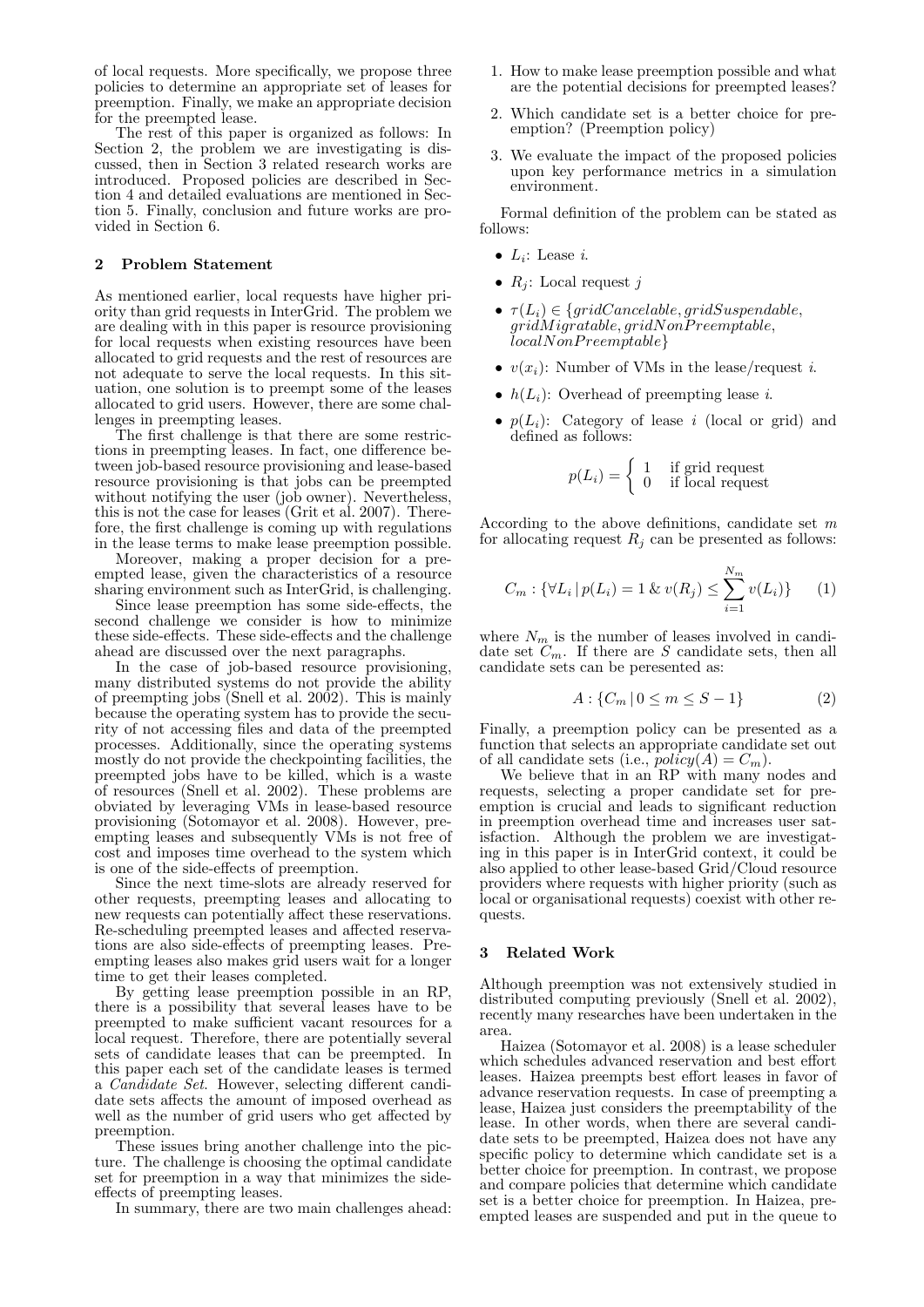of local requests. More specifically, we propose three policies to determine an appropriate set of leases for preemption. Finally, we make an appropriate decision for the preempted lease.

The rest of this paper is organized as follows: In Section 2, the problem we are investigating is discussed, then in Section 3 related research works are introduced. Proposed policies are described in Section 4 and detailed evaluations are mentioned in Section 5. Finally, conclusion and future works are provided in Section 6.

### 2 Problem Statement

As mentioned earlier, local requests have higher priority than grid requests in InterGrid. The problem we are dealing with in this paper is resource provisioning for local requests when existing resources have been allocated to grid requests and the rest of resources are not adequate to serve the local requests. In this situation, one solution is to preempt some of the leases allocated to grid users. However, there are some challenges in preempting leases.

The first challenge is that there are some restrictions in preempting leases. In fact, one difference between job-based resource provisioning and lease-based resource provisioning is that jobs can be preempted without notifying the user (job owner). Nevertheless, this is not the case for leases (Grit et al. 2007). Therefore, the first challenge is coming up with regulations in the lease terms to make lease preemption possible.

Moreover, making a proper decision for a preempted lease, given the characteristics of a resource sharing environment such as InterGrid, is challenging.

Since lease preemption has some side-effects, the second challenge we consider is how to minimize these side-effects. These side-effects and the challenge ahead are discussed over the next paragraphs.

In the case of job-based resource provisioning, many distributed systems do not provide the ability of preempting jobs (Snell et al. 2002). This is mainly because the operating system has to provide the security of not accessing files and data of the preempted processes. Additionally, since the operating systems mostly do not provide the checkpointing facilities, the preempted jobs have to be killed, which is a waste of resources (Snell et al. 2002). These problems are obviated by leveraging VMs in lease-based resource provisioning (Sotomayor et al. 2008). However, preempting leases and subsequently VMs is not free of cost and imposes time overhead to the system which is one of the side-effects of preemption.

Since the next time-slots are already reserved for other requests, preempting leases and allocating to new requests can potentially affect these reservations. Re-scheduling preempted leases and affected reservations are also side-effects of preempting leases. Preempting leases also makes grid users wait for a longer time to get their leases completed.

By getting lease preemption possible in an RP, there is a possibility that several leases have to be preempted to make sufficient vacant resources for a local request. Therefore, there are potentially several sets of candidate leases that can be preempted. In this paper each set of the candidate leases is termed a Candidate Set. However, selecting different candidate sets affects the amount of imposed overhead as well as the number of grid users who get affected by preemption.

These issues bring another challenge into the picture. The challenge is choosing the optimal candidate set for preemption in a way that minimizes the sideeffects of preempting leases.

In summary, there are two main challenges ahead:

- 1. How to make lease preemption possible and what are the potential decisions for preempted leases?
- 2. Which candidate set is a better choice for preemption? (Preemption policy)
- 3. We evaluate the impact of the proposed policies upon key performance metrics in a simulation environment.

Formal definition of the problem can be stated as follows:

- $L_i$ : Lease *i*.
- $R_i$ : Local request j
- $\tau(L_i) \in \{gridCancelable, gridSuspendable,$  $gridMigratable, gridNonPreemptable,$ localNonP reemptable}
- $v(x_i)$ : Number of VMs in the lease/request *i*.
- $h(L_i)$ : Overhead of preempting lease i.
- $p(L_i)$ : Category of lease i (local or grid) and defined as follows:

$$
p(L_i) = \begin{cases} 1 & \text{if grid request} \\ 0 & \text{if local request} \end{cases}
$$

According to the above definitions, candidate set  $m$ for allocating request  $R_j$  can be presented as follows:

$$
C_m: \{ \forall L_i \, | \, p(L_i) = 1 \, \& \, v(R_j) \le \sum_{i=1}^{N_m} v(L_i) \} \qquad (1)
$$

where  $N_m$  is the number of leases involved in candidate set  $C_m$ . If there are S candidate sets, then all candidate sets can be peresented as:

$$
A: \{C_m \, | \, 0 \le m \le S - 1\} \tag{2}
$$

Finally, a preemption policy can be presented as a function that selects an appropriate candidate set out of all candidate sets (i.e.,  $policy(A) = C_m$ ).

We believe that in an RP with many nodes and requests, selecting a proper candidate set for preemption is crucial and leads to significant reduction in preemption overhead time and increases user satisfaction. Although the problem we are investigating in this paper is in InterGrid context, it could be also applied to other lease-based Grid/Cloud resource providers where requests with higher priority (such as local or organisational requests) coexist with other requests.

#### 3 Related Work

Although preemption was not extensively studied in distributed computing previously (Snell et al. 2002), recently many researches have been undertaken in the area.

Haizea (Sotomayor et al. 2008) is a lease scheduler which schedules advanced reservation and best effort leases. Haizea preempts best effort leases in favor of advance reservation requests. In case of preempting a lease, Haizea just considers the preemptability of the lease. In other words, when there are several candidate sets to be preempted, Haizea does not have any specific policy to determine which candidate set is a better choice for preemption. In contrast, we propose and compare policies that determine which candidate set is a better choice for preemption. In Haizea, preempted leases are suspended and put in the queue to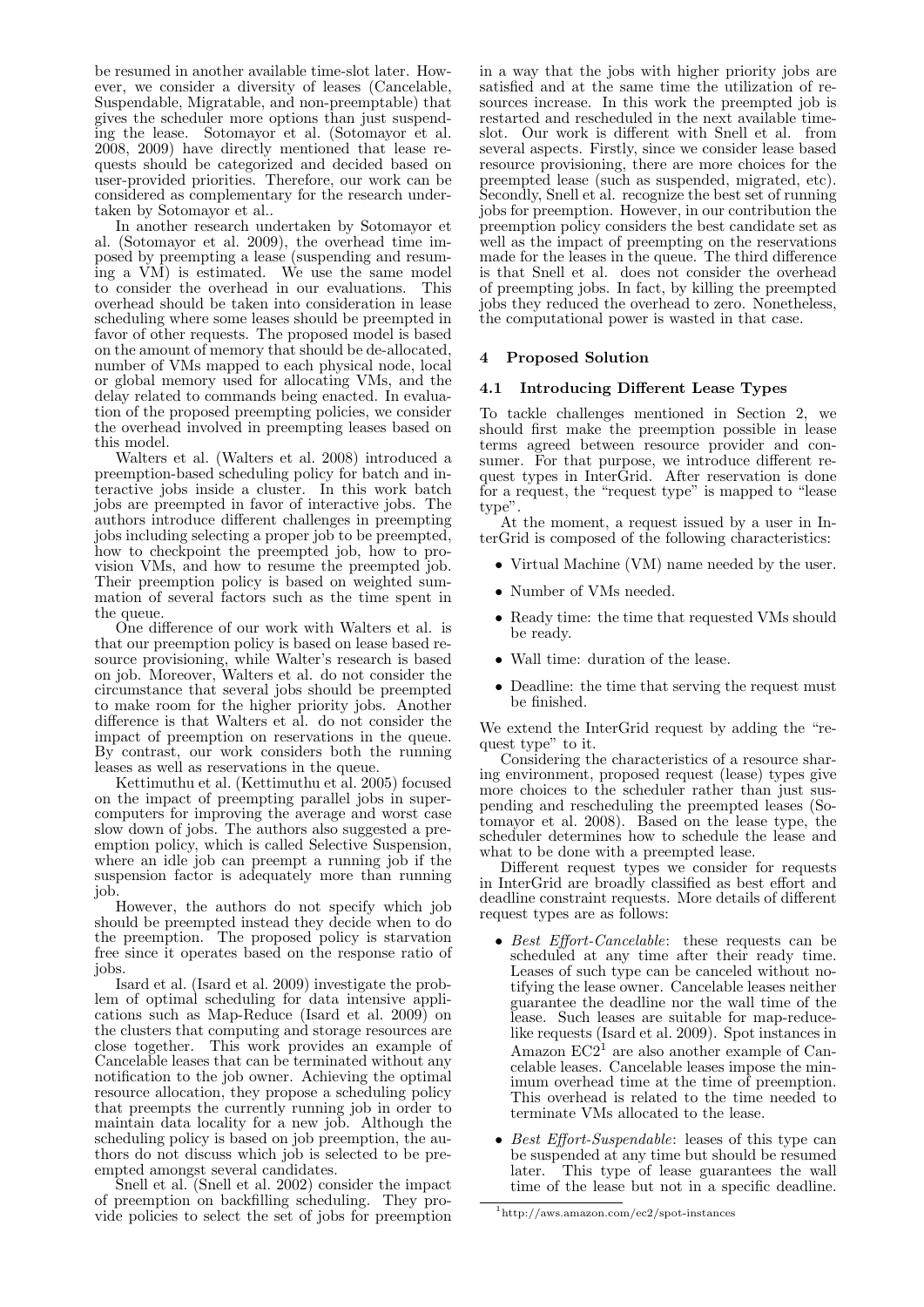be resumed in another available time-slot later. However, we consider a diversity of leases (Cancelable, Suspendable, Migratable, and non-preemptable) that gives the scheduler more options than just suspending the lease. Sotomayor et al. (Sotomayor et al. 2008, 2009) have directly mentioned that lease requests should be categorized and decided based on user-provided priorities. Therefore, our work can be considered as complementary for the research undertaken by Sotomayor et al..

In another research undertaken by Sotomayor et al. (Sotomayor et al. 2009), the overhead time imposed by preempting a lease (suspending and resuming a VM) is estimated. We use the same model to consider the overhead in our evaluations. This overhead should be taken into consideration in lease scheduling where some leases should be preempted in favor of other requests. The proposed model is based on the amount of memory that should be de-allocated, number of VMs mapped to each physical node, local or global memory used for allocating VMs, and the delay related to commands being enacted. In evaluation of the proposed preempting policies, we consider the overhead involved in preempting leases based on this model.

Walters et al. (Walters et al. 2008) introduced a preemption-based scheduling policy for batch and interactive jobs inside a cluster. In this work batch jobs are preempted in favor of interactive jobs. The authors introduce different challenges in preempting jobs including selecting a proper job to be preempted, how to checkpoint the preempted job, how to provision VMs, and how to resume the preempted job. Their preemption policy is based on weighted summation of several factors such as the time spent in the queue.

One difference of our work with Walters et al. is that our preemption policy is based on lease based resource provisioning, while Walter's research is based on job. Moreover, Walters et al. do not consider the circumstance that several jobs should be preempted to make room for the higher priority jobs. Another difference is that Walters et al. do not consider the impact of preemption on reservations in the queue. By contrast, our work considers both the running leases as well as reservations in the queue.

Kettimuthu et al. (Kettimuthu et al. 2005) focused on the impact of preempting parallel jobs in supercomputers for improving the average and worst case slow down of jobs. The authors also suggested a preemption policy, which is called Selective Suspension, where an idle job can preempt a running job if the suspension factor is adequately more than running job.

However, the authors do not specify which job should be preempted instead they decide when to do the preemption. The proposed policy is starvation free since it operates based on the response ratio of jobs.

Isard et al. (Isard et al. 2009) investigate the problem of optimal scheduling for data intensive applications such as Map-Reduce (Isard et al. 2009) on the clusters that computing and storage resources are close together. This work provides an example of Cancelable leases that can be terminated without any notification to the job owner. Achieving the optimal resource allocation, they propose a scheduling policy that preempts the currently running job in order to maintain data locality for a new job. Although the scheduling policy is based on job preemption, the authors do not discuss which job is selected to be preempted amongst several candidates.

Snell et al. (Snell et al. 2002) consider the impact of preemption on backfilling scheduling. They provide policies to select the set of jobs for preemption in a way that the jobs with higher priority jobs are satisfied and at the same time the utilization of resources increase. In this work the preempted job is restarted and rescheduled in the next available timeslot. Our work is different with Snell et al. from several aspects. Firstly, since we consider lease based resource provisioning, there are more choices for the preempted lease (such as suspended, migrated, etc). Secondly, Snell et al. recognize the best set of running jobs for preemption. However, in our contribution the preemption policy considers the best candidate set as well as the impact of preempting on the reservations made for the leases in the queue. The third difference is that Snell et al. does not consider the overhead of preempting jobs. In fact, by killing the preempted jobs they reduced the overhead to zero. Nonetheless, the computational power is wasted in that case.

## 4 Proposed Solution

### 4.1 Introducing Different Lease Types

To tackle challenges mentioned in Section 2, we should first make the preemption possible in lease terms agreed between resource provider and consumer. For that purpose, we introduce different request types in InterGrid. After reservation is done for a request, the "request type" is mapped to "lease type".

At the moment, a request issued by a user in InterGrid is composed of the following characteristics:

- Virtual Machine (VM) name needed by the user.
- Number of VMs needed.
- Ready time: the time that requested VMs should be ready.
- Wall time: duration of the lease.
- Deadline: the time that serving the request must be finished.

We extend the InterGrid request by adding the "request type" to it.

Considering the characteristics of a resource sharing environment, proposed request (lease) types give more choices to the scheduler rather than just suspending and rescheduling the preempted leases (Sotomayor et al. 2008). Based on the lease type, the scheduler determines how to schedule the lease and what to be done with a preempted lease.

Different request types we consider for requests in InterGrid are broadly classified as best effort and deadline constraint requests. More details of different request types are as follows:

- Best Effort-Cancelable: these requests can be scheduled at any time after their ready time. Leases of such type can be canceled without notifying the lease owner. Cancelable leases neither guarantee the deadline nor the wall time of the lease. Such leases are suitable for map-reducelike requests (Isard et al. 2009). Spot instances in Amazon  $EC2<sup>1</sup>$  are also another example of Cancelable leases. Cancelable leases impose the minimum overhead time at the time of preemption. This overhead is related to the time needed to terminate VMs allocated to the lease.
- Best Effort-Suspendable: leases of this type can be suspended at any time but should be resumed later. This type of lease guarantees the wall time of the lease but not in a specific deadline.

 $1$ http://aws.amazon.com/ec2/spot-instances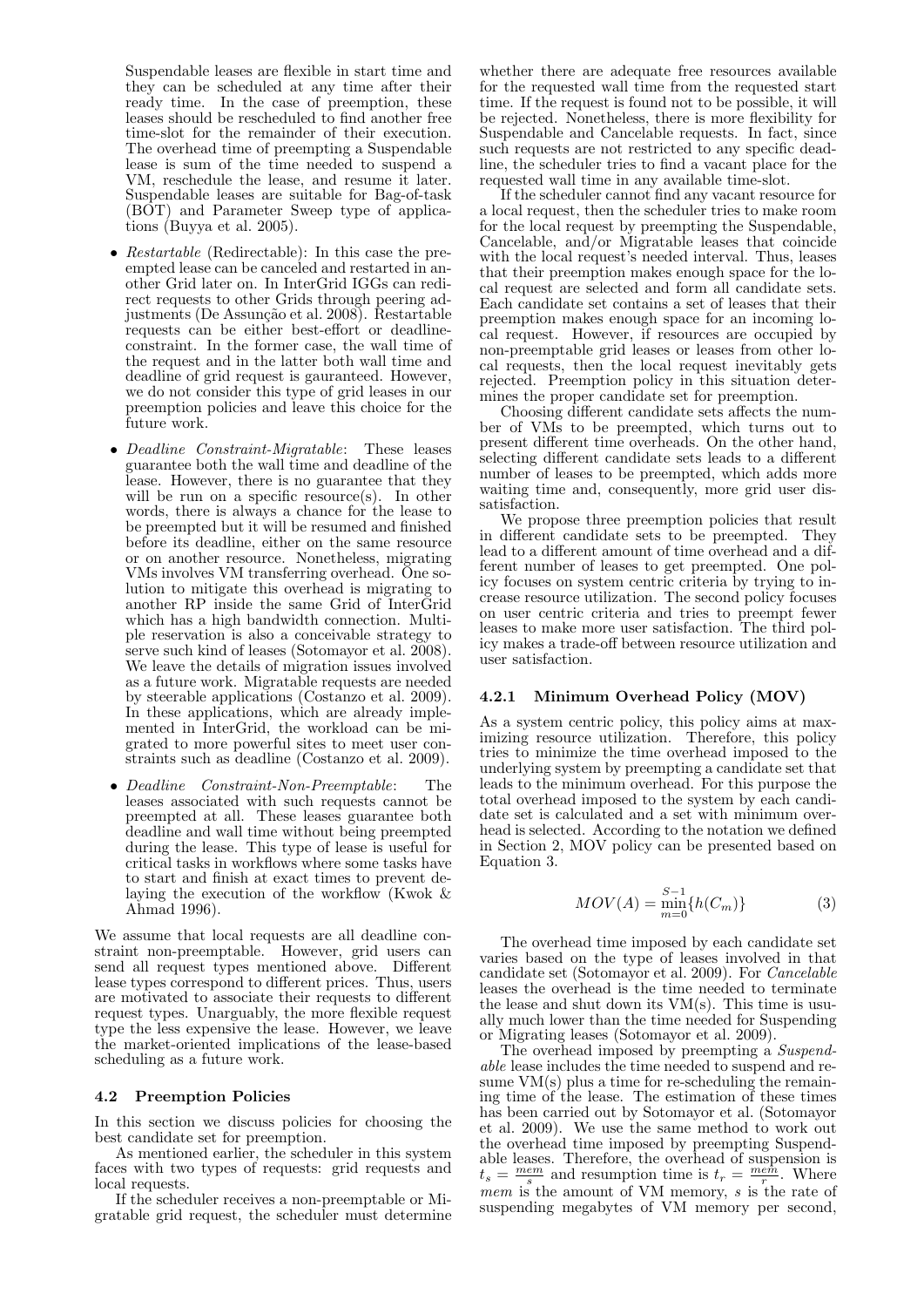Suspendable leases are flexible in start time and they can be scheduled at any time after their ready time. In the case of preemption, these leases should be rescheduled to find another free time-slot for the remainder of their execution. The overhead time of preempting a Suspendable lease is sum of the time needed to suspend a VM, reschedule the lease, and resume it later. Suspendable leases are suitable for Bag-of-task (BOT) and Parameter Sweep type of applications (Buyya et al. 2005).

- Restartable (Redirectable): In this case the preempted lease can be canceled and restarted in another Grid later on. In InterGrid IGGs can redirect requests to other Grids through peering adjustments (De Assunção et al. 2008). Restartable requests can be either best-effort or deadlineconstraint. In the former case, the wall time of the request and in the latter both wall time and deadline of grid request is gauranteed. However, we do not consider this type of grid leases in our preemption policies and leave this choice for the future work.
- Deadline Constraint-Migratable: These leases guarantee both the wall time and deadline of the lease. However, there is no guarantee that they will be run on a specific resource(s). In other words, there is always a chance for the lease to be preempted but it will be resumed and finished before its deadline, either on the same resource or on another resource. Nonetheless, migrating VMs involves VM transferring overhead. One solution to mitigate this overhead is migrating to another RP inside the same Grid of InterGrid which has a high bandwidth connection. Multiple reservation is also a conceivable strategy to serve such kind of leases (Sotomayor et al. 2008). We leave the details of migration issues involved as a future work. Migratable requests are needed by steerable applications (Costanzo et al. 2009). In these applications, which are already implemented in InterGrid, the workload can be migrated to more powerful sites to meet user constraints such as deadline (Costanzo et al. 2009).
- Deadline Constraint-Non-Preemptable: The leases associated with such requests cannot be preempted at all. These leases guarantee both deadline and wall time without being preempted during the lease. This type of lease is useful for critical tasks in workflows where some tasks have to start and finish at exact times to prevent delaying the execution of the workflow (Kwok & Ahmad 1996).

We assume that local requests are all deadline constraint non-preemptable. However, grid users can send all request types mentioned above. Different lease types correspond to different prices. Thus, users are motivated to associate their requests to different request types. Unarguably, the more flexible request type the less expensive the lease. However, we leave the market-oriented implications of the lease-based scheduling as a future work.

### 4.2 Preemption Policies

In this section we discuss policies for choosing the best candidate set for preemption.

As mentioned earlier, the scheduler in this system faces with two types of requests: grid requests and local requests.

If the scheduler receives a non-preemptable or Migratable grid request, the scheduler must determine

whether there are adequate free resources available for the requested wall time from the requested start time. If the request is found not to be possible, it will be rejected. Nonetheless, there is more flexibility for Suspendable and Cancelable requests. In fact, since such requests are not restricted to any specific deadline, the scheduler tries to find a vacant place for the requested wall time in any available time-slot.

If the scheduler cannot find any vacant resource for a local request, then the scheduler tries to make room for the local request by preempting the Suspendable, Cancelable, and/or Migratable leases that coincide with the local request's needed interval. Thus, leases that their preemption makes enough space for the local request are selected and form all candidate sets. Each candidate set contains a set of leases that their preemption makes enough space for an incoming local request. However, if resources are occupied by non-preemptable grid leases or leases from other local requests, then the local request inevitably gets rejected. Preemption policy in this situation determines the proper candidate set for preemption.

Choosing different candidate sets affects the number of VMs to be preempted, which turns out to present different time overheads. On the other hand, selecting different candidate sets leads to a different number of leases to be preempted, which adds more waiting time and, consequently, more grid user dissatisfaction.

We propose three preemption policies that result in different candidate sets to be preempted. They lead to a different amount of time overhead and a different number of leases to get preempted. One policy focuses on system centric criteria by trying to increase resource utilization. The second policy focuses on user centric criteria and tries to preempt fewer leases to make more user satisfaction. The third policy makes a trade-off between resource utilization and user satisfaction.

### 4.2.1 Minimum Overhead Policy (MOV)

As a system centric policy, this policy aims at maximizing resource utilization. Therefore, this policy tries to minimize the time overhead imposed to the underlying system by preempting a candidate set that leads to the minimum overhead. For this purpose the total overhead imposed to the system by each candidate set is calculated and a set with minimum overhead is selected. According to the notation we defined in Section 2, MOV policy can be presented based on Equation 3.

$$
MOV(A) = \min_{m=0}^{S-1} \{h(C_m)\}
$$
 (3)

The overhead time imposed by each candidate set varies based on the type of leases involved in that candidate set (Sotomayor et al. 2009). For Cancelable leases the overhead is the time needed to terminate the lease and shut down its VM(s). This time is usually much lower than the time needed for Suspending or Migrating leases (Sotomayor et al. 2009).

The overhead imposed by preempting a Suspendable lease includes the time needed to suspend and resume  $VM(s)$  plus a time for re-scheduling the remaining time of the lease. The estimation of these times has been carried out by Sotomayor et al. (Sotomayor et al. 2009). We use the same method to work out the overhead time imposed by preempting Suspendable leases. Therefore, the overhead of suspension is  $t_s = \frac{mem}{s}$  and resumption time is  $t_r = \frac{mem}{r}$ . Where mem is the amount of VM memory,  $s$  is the rate of suspending megabytes of VM memory per second,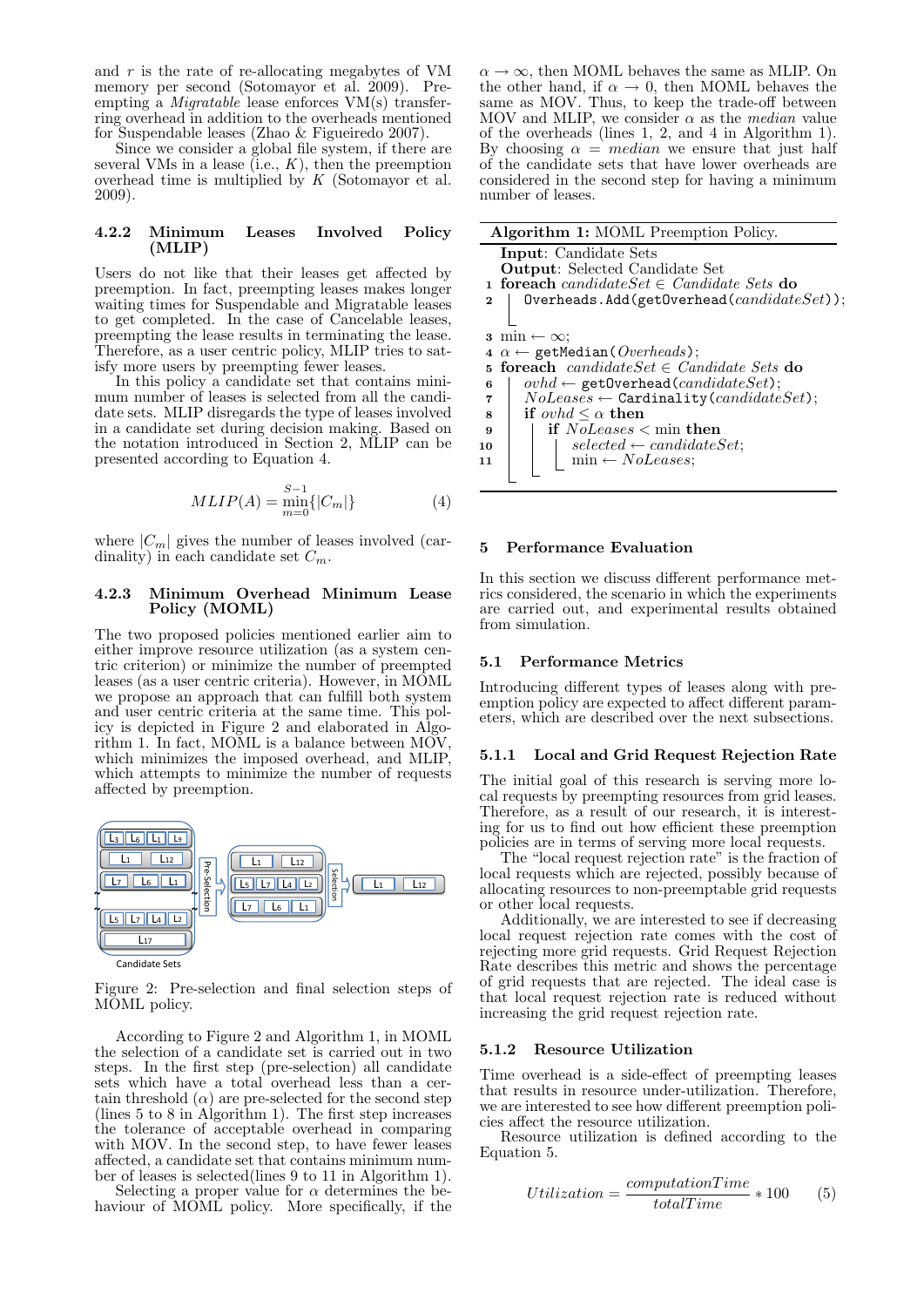and  $r$  is the rate of re-allocating megabytes of VM memory per second (Sotomayor et al. 2009). Preempting a Migratable lease enforces VM(s) transferring overhead in addition to the overheads mentioned for Suspendable leases (Zhao & Figueiredo 2007).

Since we consider a global file system, if there are several VMs in a lease  $(i.e., K)$ , then the preemption overhead time is multiplied by  $K$  (Sotomayor et al. 2009).

#### 4.2.2 Minimum Leases Involved Policy (MLIP)

Users do not like that their leases get affected by preemption. In fact, preempting leases makes longer waiting times for Suspendable and Migratable leases to get completed. In the case of Cancelable leases, preempting the lease results in terminating the lease. Therefore, as a user centric policy, MLIP tries to satisfy more users by preempting fewer leases.

In this policy a candidate set that contains minimum number of leases is selected from all the candidate sets. MLIP disregards the type of leases involved in a candidate set during decision making. Based on the notation introduced in Section 2, MLIP can be presented according to Equation 4.

$$
MLIP(A) = \min_{m=0}^{S-1} \{|C_m|\}
$$
 (4)

where  $|C_m|$  gives the number of leases involved (cardinality) in each candidate set  $C_m$ .

### 4.2.3 Minimum Overhead Minimum Lease Policy (MOML)

The two proposed policies mentioned earlier aim to either improve resource utilization (as a system centric criterion) or minimize the number of preempted leases (as a user centric criteria). However, in MOML we propose an approach that can fulfill both system and user centric criteria at the same time. This policy is depicted in Figure 2 and elaborated in Algorithm 1. In fact, MOML is a balance between MOV, which minimizes the imposed overhead, and MLIP, which attempts to minimize the number of requests affected by preemption.



Figure 2: Pre-selection and final selection steps of MOML policy.

According to Figure 2 and Algorithm 1, in MOML the selection of a candidate set is carried out in two steps. In the first step (pre-selection) all candidate sets which have a total overhead less than a certain threshold  $(\alpha)$  are pre-selected for the second step (lines 5 to 8 in Algorithm 1). The first step increases the tolerance of acceptable overhead in comparing with MOV. In the second step, to have fewer leases affected, a candidate set that contains minimum number of leases is selected(lines 9 to 11 in Algorithm 1).

Selecting a proper value for  $\alpha$  determines the behaviour of MOML policy. More specifically, if the

 $\alpha \rightarrow \infty$ , then MOML behaves the same as MLIP. On the other hand, if  $\alpha \to 0$ , then MOML behaves the same as MOV. Thus, to keep the trade-off between MOV and MLIP, we consider  $\alpha$  as the *median* value of the overheads (lines 1, 2, and 4 in Algorithm 1). By choosing  $\alpha$  = *median* we ensure that just half of the candidate sets that have lower overheads are considered in the second step for having a minimum number of leases.

|          | <b>Algorithm 1: MOML Preemption Policy.</b>                           |
|----------|-----------------------------------------------------------------------|
|          | <b>Input:</b> Candidate Sets<br><b>Output:</b> Selected Candidate Set |
|          | <b>1 foreach</b> candidate Set $\in$ Candidate Sets <b>do</b>         |
| $\bf{2}$ | $0$ verheads.Add(getOverhead( $candidateSet$ ));                      |
|          |                                                                       |
| 3        | $\min \leftarrow \infty$ ;                                            |
| 4        | $\alpha \leftarrow$ getMedian( <i>Overheads</i> );                    |
|          | 5 foreach candidate Set $\in$ Candidate Sets do                       |
| 6        | $ovhd \leftarrow$ getOverhead(candidateSet);                          |
| 7        | $NoLeases \leftarrow$ Cardinality ( <i>candidateSet</i> );            |
| 8        | if <i>ovhd</i> $\leq \alpha$ then                                     |
| 9        | if $\textit{NoLeases}$ < min then                                     |
| 10       | $selected \leftarrow candidateSet;$                                   |
| 11       | $min \leftarrow \textit{NoLeases};$                                   |
|          |                                                                       |
|          |                                                                       |
|          |                                                                       |

#### 5 Performance Evaluation

In this section we discuss different performance metrics considered, the scenario in which the experiments are carried out, and experimental results obtained from simulation.

### 5.1 Performance Metrics

Introducing different types of leases along with preemption policy are expected to affect different parameters, which are described over the next subsections.

### 5.1.1 Local and Grid Request Rejection Rate

The initial goal of this research is serving more local requests by preempting resources from grid leases. Therefore, as a result of our research, it is interesting for us to find out how efficient these preemption policies are in terms of serving more local requests.

The "local request rejection rate" is the fraction of local requests which are rejected, possibly because of allocating resources to non-preemptable grid requests or other local requests.

Additionally, we are interested to see if decreasing local request rejection rate comes with the cost of rejecting more grid requests. Grid Request Rejection Rate describes this metric and shows the percentage of grid requests that are rejected. The ideal case is that local request rejection rate is reduced without increasing the grid request rejection rate.

### 5.1.2 Resource Utilization

Time overhead is a side-effect of preempting leases that results in resource under-utilization. Therefore, we are interested to see how different preemption policies affect the resource utilization.

Resource utilization is defined according to the Equation 5.

$$
Utilization = \frac{computationTime}{totalTime} * 100
$$
 (5)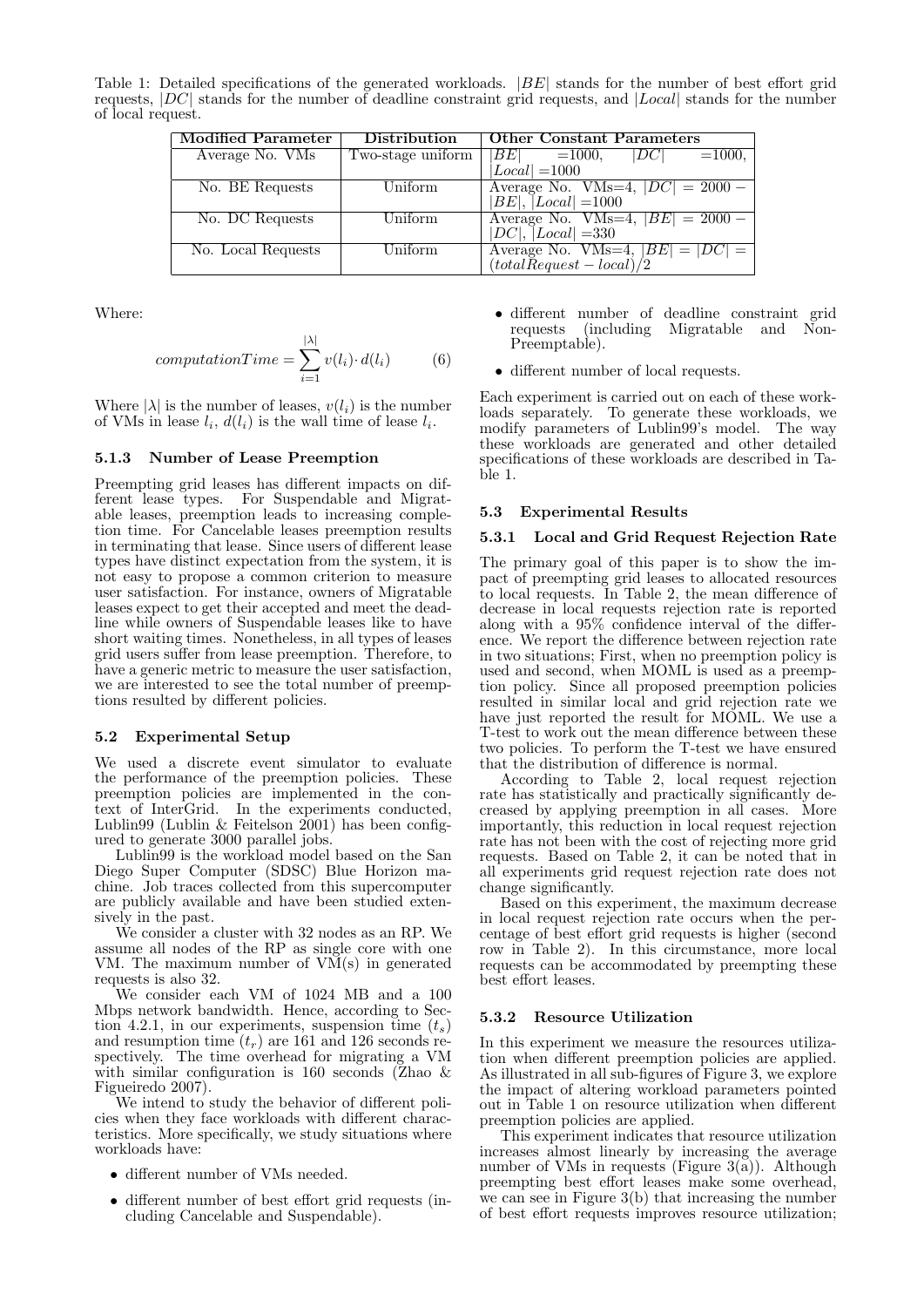Table 1: Detailed specifications of the generated workloads. |BE| stands for the number of best effort grid requests, |DC| stands for the number of deadline constraint grid requests, and |Local| stands for the number of local request.

| <b>Modified Parameter</b> | <b>Distribution</b>         | <b>Other Constant Parameters</b>                            |
|---------------------------|-----------------------------|-------------------------------------------------------------|
| Average No. VMs           | Two-stage uniform           | $ BE $ =1000, $ DC $ =1000,                                 |
|                           |                             | $Local  = 1000$                                             |
| No. BE Requests           | $\overline{\text{Uniform}}$ | Average No. VMs=4, $ DC  = 2000 -$                          |
|                           |                             | $ BE ,  Local  = 1000$                                      |
| No. DC Requests           | Uniform                     | Average No. VMs=4, $ BE  = 2000 -$                          |
|                           |                             | $ DC ,  Local  = 330$                                       |
| No. Local Requests        | Uniform                     | Average No. VMs=4, $ BE  =  DC  = (totalRequest - local)/2$ |
|                           |                             |                                                             |

Where:

$$
computationTime = \sum_{i=1}^{|\lambda|} v(l_i) \cdot d(l_i)
$$
 (6)

Where  $|\lambda|$  is the number of leases,  $v(l_i)$  is the number of VMs in lease  $l_i$ ,  $d(l_i)$  is the wall time of lease  $l_i$ .

### 5.1.3 Number of Lease Preemption

Preempting grid leases has different impacts on different lease types. For Suspendable and Migratable leases, preemption leads to increasing completion time. For Cancelable leases preemption results in terminating that lease. Since users of different lease types have distinct expectation from the system, it is not easy to propose a common criterion to measure user satisfaction. For instance, owners of Migratable leases expect to get their accepted and meet the deadline while owners of Suspendable leases like to have short waiting times. Nonetheless, in all types of leases grid users suffer from lease preemption. Therefore, to have a generic metric to measure the user satisfaction, we are interested to see the total number of preemptions resulted by different policies.

#### 5.2 Experimental Setup

We used a discrete event simulator to evaluate the performance of the preemption policies. These preemption policies are implemented in the context of InterGrid. In the experiments conducted, Lublin99 (Lublin & Feitelson 2001) has been configured to generate 3000 parallel jobs.

Lublin99 is the workload model based on the San Diego Super Computer (SDSC) Blue Horizon machine. Job traces collected from this supercomputer are publicly available and have been studied extensively in the past.

We consider a cluster with 32 nodes as an RP. We assume all nodes of the RP as single core with one VM. The maximum number of  $V\widetilde{M}(s)$  in generated requests is also 32.

We consider each VM of 1024 MB and a 100 Mbps network bandwidth. Hence, according to Section 4.2.1, in our experiments, suspension time  $(t_s)$ and resumption time  $(t_r)$  are 161 and 126 seconds respectively. The time overhead for migrating a VM with similar configuration is 160 seconds (Zhao & Figueiredo 2007).

We intend to study the behavior of different policies when they face workloads with different characteristics. More specifically, we study situations where workloads have:

- different number of VMs needed.
- different number of best effort grid requests (including Cancelable and Suspendable).
- different number of deadline constraint grid requests (including Migratable and Non-Preemptable).
- different number of local requests.

Each experiment is carried out on each of these workloads separately. To generate these workloads, we modify parameters of Lublin99's model. The way these workloads are generated and other detailed specifications of these workloads are described in Table 1.

### 5.3 Experimental Results

### 5.3.1 Local and Grid Request Rejection Rate

The primary goal of this paper is to show the impact of preempting grid leases to allocated resources to local requests. In Table 2, the mean difference of decrease in local requests rejection rate is reported along with a 95% confidence interval of the difference. We report the difference between rejection rate in two situations; First, when no preemption policy is used and second, when MOML is used as a preemption policy. Since all proposed preemption policies resulted in similar local and grid rejection rate we have just reported the result for MOML. We use a T-test to work out the mean difference between these two policies. To perform the T-test we have ensured that the distribution of difference is normal.

According to Table 2, local request rejection rate has statistically and practically significantly decreased by applying preemption in all cases. More importantly, this reduction in local request rejection rate has not been with the cost of rejecting more grid requests. Based on Table 2, it can be noted that in all experiments grid request rejection rate does not change significantly.

Based on this experiment, the maximum decrease in local request rejection rate occurs when the percentage of best effort grid requests is higher (second row in Table 2). In this circumstance, more local requests can be accommodated by preempting these best effort leases.

### 5.3.2 Resource Utilization

In this experiment we measure the resources utilization when different preemption policies are applied. As illustrated in all sub-figures of Figure 3, we explore the impact of altering workload parameters pointed out in Table 1 on resource utilization when different preemption policies are applied.

This experiment indicates that resource utilization increases almost linearly by increasing the average number of VMs in requests (Figure  $3(a)$ ). Although preempting best effort leases make some overhead, we can see in Figure 3(b) that increasing the number of best effort requests improves resource utilization;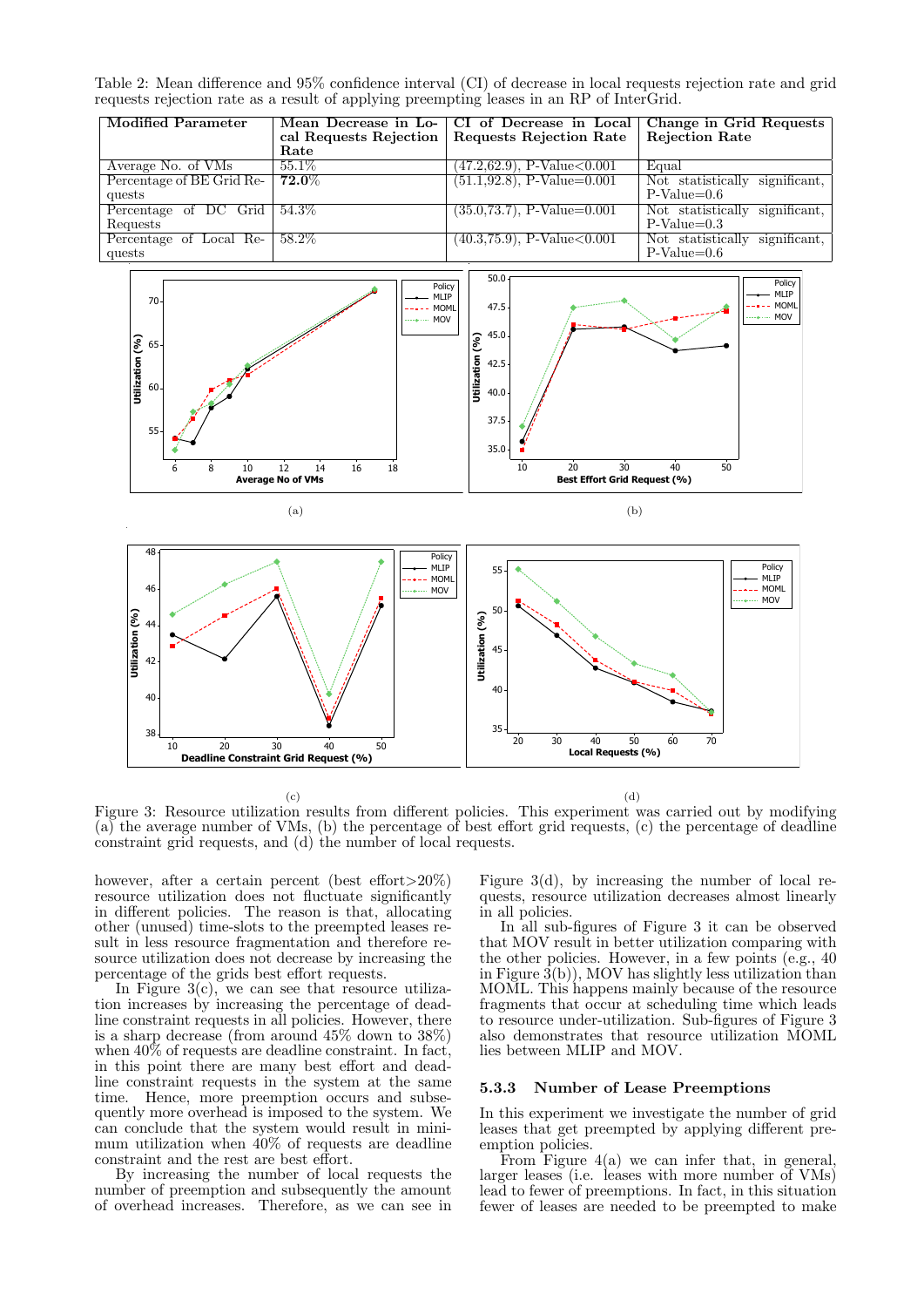Table 2: Mean difference and 95% confidence interval (CI) of decrease in local requests rejection rate and grid requests rejection rate as a result of applying preempting leases in an RP of InterGrid.

| Modified Parameter        | Rate     | Mean Decrease in Lo-   CI of Decrease in Local   Change in Grid Requests<br>cal Requests Rejection   Requests Rejection Rate | <b>Rejection Rate</b>             |
|---------------------------|----------|------------------------------------------------------------------------------------------------------------------------------|-----------------------------------|
| Average No. of VMs        | $55.1\%$ | $(47.2,62.9), P-Value<0.001$                                                                                                 | Equal                             |
| Percentage of BE Grid Re- | $72.0\%$ | $(51.1, 92.8), P-Value=0.001$                                                                                                | Not statistically<br>significant. |
| quests                    |          |                                                                                                                              | $P-Value=0.6$                     |
| Percentage of DC Grid     | $54.3\%$ | $(35.0, 73.7), P-Value=0.001$                                                                                                | Not statistically significant,    |
| Requests                  |          |                                                                                                                              | $P-Value=0.3$                     |
| Percentage of Local Re-   | $58.2\%$ | $(40.3, 75.9), P-Value<0.001$                                                                                                | Not statistically<br>significant. |
| quests                    |          |                                                                                                                              | $P-Value=0.6$                     |



(c)

(d)

Figure 3: Resource utilization results from different policies. This experiment was carried out by modifying (a) the average number of VMs, (b) the percentage of best effort grid requests, (c) the percentage of deadline constraint grid requests, and (d) the number of local requests.

however, after a certain percent (best effort>20%) resource utilization does not fluctuate significantly in different policies. The reason is that, allocating other (unused) time-slots to the preempted leases result in less resource fragmentation and therefore resource utilization does not decrease by increasing the percentage of the grids best effort requests.

In Figure 3(c), we can see that resource utilization increases by increasing the percentage of deadline constraint requests in all policies. However, there is a sharp decrease (from around 45% down to 38%) when  $40\%$  of requests are deadline constraint. In fact, in this point there are many best effort and deadline constraint requests in the system at the same time. Hence, more preemption occurs and subsequently more overhead is imposed to the system. We can conclude that the system would result in minimum utilization when 40% of requests are deadline constraint and the rest are best effort.

By increasing the number of local requests the number of preemption and subsequently the amount of overhead increases. Therefore, as we can see in Figure  $3(d)$ , by increasing the number of local requests, resource utilization decreases almost linearly in all policies.

In all sub-figures of Figure 3 it can be observed that MOV result in better utilization comparing with the other policies. However, in a few points (e.g., 40 in Figure  $3(b)$ ), MOV has slightly less utilization than MOML. This happens mainly because of the resource fragments that occur at scheduling time which leads to resource under-utilization. Sub-figures of Figure 3 also demonstrates that resource utilization MOML lies between MLIP and MOV.

# 5.3.3 Number of Lease Preemptions

In this experiment we investigate the number of grid leases that get preempted by applying different preemption policies.

From Figure 4(a) we can infer that, in general, larger leases (i.e. leases with more number of VMs) lead to fewer of preemptions. In fact, in this situation fewer of leases are needed to be preempted to make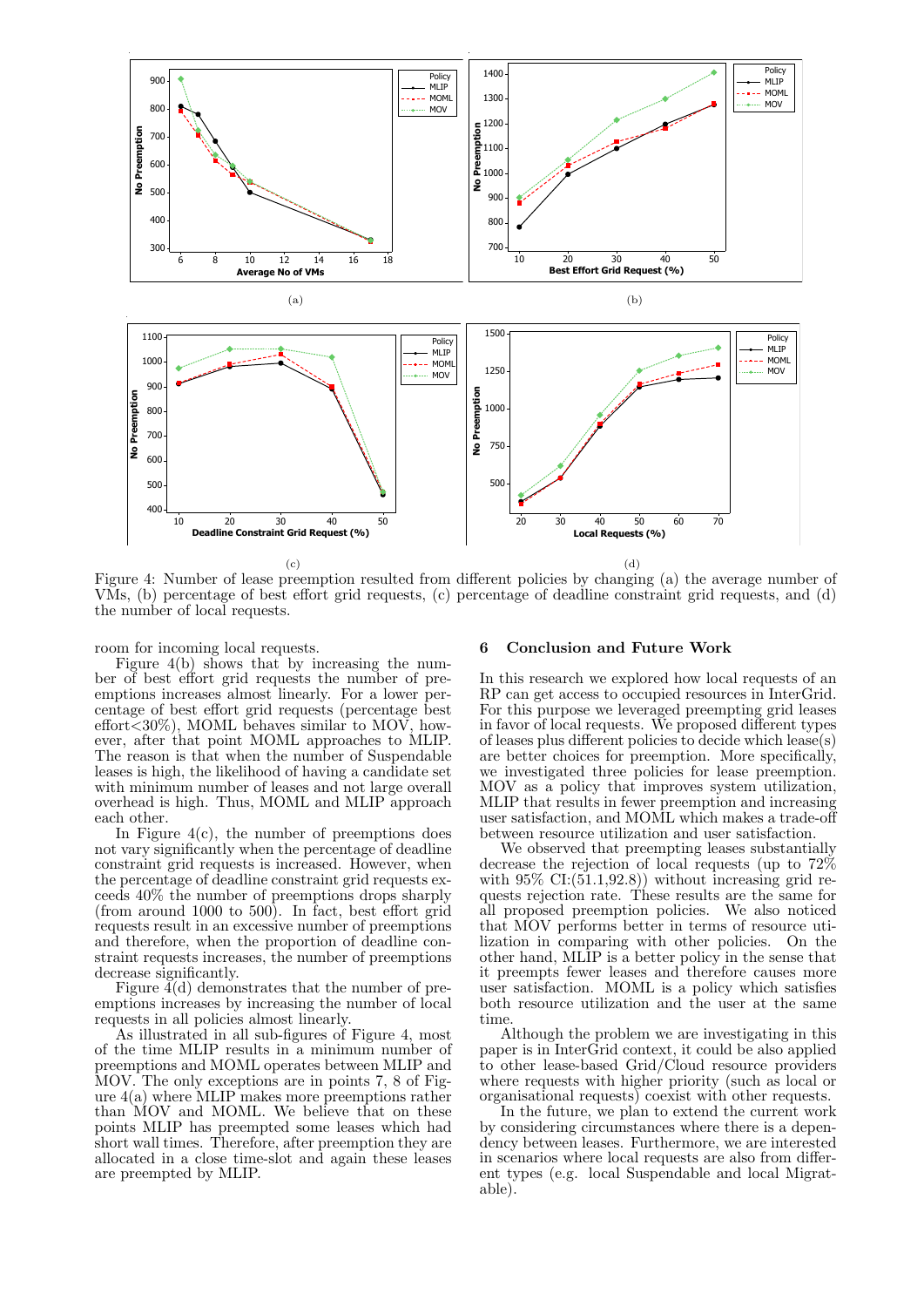

Figure 4: Number of lease preemption resulted from different policies by changing (a) the average number of VMs, (b) percentage of best effort grid requests, (c) percentage of deadline constraint grid requests, and (d) the number of local requests.

room for incoming local requests.

Figure 4(b) shows that by increasing the number of best effort grid requests the number of preemptions increases almost linearly. For a lower percentage of best effort grid requests (percentage best effort<30%), MOML behaves similar to MOV, however, after that point MOML approaches to MLIP. The reason is that when the number of Suspendable leases is high, the likelihood of having a candidate set with minimum number of leases and not large overall overhead is high. Thus, MOML and MLIP approach each other.

In Figure  $4(c)$ , the number of preemptions does not vary significantly when the percentage of deadline constraint grid requests is increased. However, when the percentage of deadline constraint grid requests exceeds 40% the number of preemptions drops sharply (from around 1000 to 500). In fact, best effort grid requests result in an excessive number of preemptions and therefore, when the proportion of deadline constraint requests increases, the number of preemptions decrease significantly.

Figure  $\tilde{4}(d)$  demonstrates that the number of preemptions increases by increasing the number of local requests in all policies almost linearly.

As illustrated in all sub-figures of Figure 4, most of the time MLIP results in a minimum number of preemptions and MOML operates between MLIP and MOV. The only exceptions are in points 7, 8 of Figure 4(a) where MLIP makes more preemptions rather than MOV and MOML. We believe that on these points MLIP has preempted some leases which had short wall times. Therefore, after preemption they are allocated in a close time-slot and again these leases are preempted by MLIP.

#### 6 Conclusion and Future Work

In this research we explored how local requests of an RP can get access to occupied resources in InterGrid. For this purpose we leveraged preempting grid leases in favor of local requests. We proposed different types of leases plus different policies to decide which lease(s) are better choices for preemption. More specifically, we investigated three policies for lease preemption. MOV as a policy that improves system utilization, MLIP that results in fewer preemption and increasing user satisfaction, and MOML which makes a trade-off between resource utilization and user satisfaction.

We observed that preempting leases substantially decrease the rejection of local requests (up to 72% with  $95\%$  CI: $(51.1, 92.8)$  without increasing grid requests rejection rate. These results are the same for all proposed preemption policies. We also noticed that MOV performs better in terms of resource utilization in comparing with other policies. On the other hand, MLIP is a better policy in the sense that it preempts fewer leases and therefore causes more user satisfaction. MOML is a policy which satisfies both resource utilization and the user at the same time.

Although the problem we are investigating in this paper is in InterGrid context, it could be also applied to other lease-based Grid/Cloud resource providers where requests with higher priority (such as local or organisational requests) coexist with other requests.

In the future, we plan to extend the current work by considering circumstances where there is a dependency between leases. Furthermore, we are interested in scenarios where local requests are also from different types (e.g. local Suspendable and local Migratable).